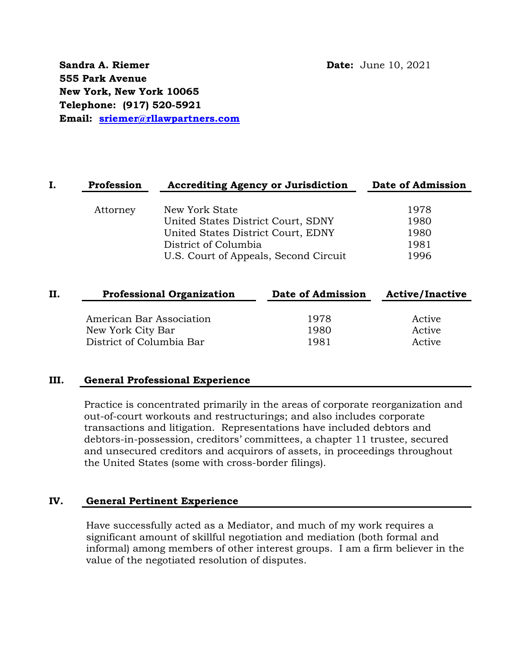**Sandra A. Riemer Date:** June 10, 2021 **555 Park Avenue New York, New York 10065 Telephone: (917) 520-5921 Email: [sriemer@rllawpartners.com](mailto:sriemer@rllawpartners.com)**

| Profession | <b>Accrediting Agency or Jurisdiction</b> | Date of Admission |
|------------|-------------------------------------------|-------------------|
|            |                                           |                   |
| Attorney   | New York State                            | 1978              |
|            | United States District Court, SDNY        | 1980              |
|            | United States District Court, EDNY        | 1980              |
|            | District of Columbia                      | 1981              |
|            | U.S. Court of Appeals, Second Circuit     | 1996              |
|            |                                           |                   |
|            |                                           |                   |

| <b>Professional Organization</b> |      |                   |
|----------------------------------|------|-------------------|
| American Bar Association         | 1978 | Active            |
| New York City Bar                | 1980 | Active            |
| District of Columbia Bar         | 1981 | Active            |
|                                  |      | Date of Admission |

#### **III. General Professional Experience**

Practice is concentrated primarily in the areas of corporate reorganization and out-of-court workouts and restructurings; and also includes corporate transactions and litigation. Representations have included debtors and debtors-in-possession, creditors' committees, a chapter 11 trustee, secured and unsecured creditors and acquirors of assets, in proceedings throughout the United States (some with cross-border filings).

### **IV. General Pertinent Experience**

Have successfully acted as a Mediator, and much of my work requires a significant amount of skillful negotiation and mediation (both formal and informal) among members of other interest groups. I am a firm believer in the value of the negotiated resolution of disputes.